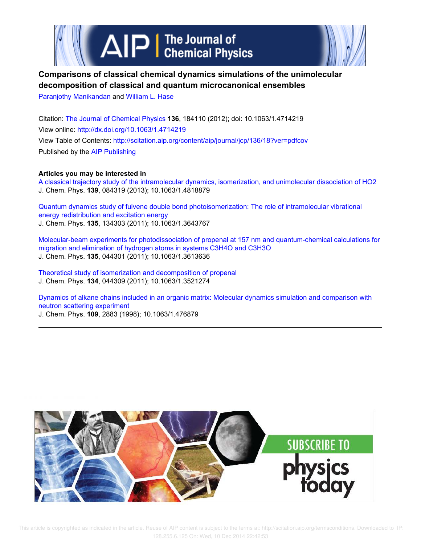

# **Comparisons of classical chemical dynamics simulations of the unimolecular decomposition of classical and quantum microcanonical ensembles**

Paranjothy Manikandan and William L. Hase

Citation: The Journal of Chemical Physics **136**, 184110 (2012); doi: 10.1063/1.4714219 View online: http://dx.doi.org/10.1063/1.4714219 View Table of Contents: http://scitation.aip.org/content/aip/journal/jcp/136/18?ver=pdfcov Published by the AIP Publishing

**Articles you may be interested in**

A classical trajectory study of the intramolecular dynamics, isomerization, and unimolecular dissociation of HO2 J. Chem. Phys. **139**, 084319 (2013); 10.1063/1.4818879

Quantum dynamics study of fulvene double bond photoisomerization: The role of intramolecular vibrational energy redistribution and excitation energy J. Chem. Phys. **135**, 134303 (2011); 10.1063/1.3643767

Molecular-beam experiments for photodissociation of propenal at 157 nm and quantum-chemical calculations for migration and elimination of hydrogen atoms in systems C3H4O and C3H3O J. Chem. Phys. **135**, 044301 (2011); 10.1063/1.3613636

Theoretical study of isomerization and decomposition of propenal J. Chem. Phys. **134**, 044309 (2011); 10.1063/1.3521274

Dynamics of alkane chains included in an organic matrix: Molecular dynamics simulation and comparison with neutron scattering experiment J. Chem. Phys. **109**, 2883 (1998); 10.1063/1.476879



 This article is copyrighted as indicated in the article. Reuse of AIP content is subject to the terms at: http://scitation.aip.org/termsconditions. Downloaded to IP: 128.255.6.125 On: Wed, 10 Dec 2014 22:42:53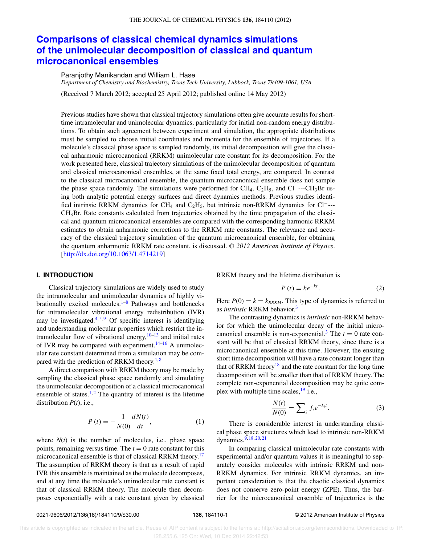# **Comparisons of classical chemical dynamics simulations of the unimolecular decomposition of classical and quantum microcanonical ensembles**

Paranjothy Manikandan and William L. Hase

*Department of Chemistry and Biochemistry, Texas Tech University, Lubbock, Texas 79409-1061, USA*

(Received 7 March 2012; accepted 25 April 2012; published online 14 May 2012)

Previous studies have shown that classical trajectory simulations often give accurate results for shorttime intramolecular and unimolecular dynamics, particularly for initial non-random energy distributions. To obtain such agreement between experiment and simulation, the appropriate distributions must be sampled to choose initial coordinates and momenta for the ensemble of trajectories. If a molecule's classical phase space is sampled randomly, its initial decomposition will give the classical anharmonic microcanonical (RRKM) unimolecular rate constant for its decomposition. For the work presented here, classical trajectory simulations of the unimolecular decomposition of quantum and classical microcanonical ensembles, at the same fixed total energy, are compared. In contrast to the classical microcanonical ensemble, the quantum microcanonical ensemble does not sample the phase space randomly. The simulations were performed for CH<sub>4</sub>, C<sub>2</sub>H<sub>5</sub>, and Cl<sup>−</sup>---CH<sub>3</sub>Br using both analytic potential energy surfaces and direct dynamics methods. Previous studies identified intrinsic RRKM dynamics for CH<sub>4</sub> and C<sub>2</sub>H<sub>5</sub>, but intrinsic non-RRKM dynamics for Cl<sup>−---</sup>  $CH<sub>3</sub>Br.$  Rate constants calculated from trajectories obtained by the time propagation of the classical and quantum microcanonical ensembles are compared with the corresponding harmonic RRKM estimates to obtain anharmonic corrections to the RRKM rate constants. The relevance and accuracy of the classical trajectory simulation of the quantum microcanonical ensemble, for obtaining the quantum anharmonic RRKM rate constant, is discussed. *© 2012 American Institute of Physics*. [http://dx.doi.org/10.1063/1.4714219]

### **I. INTRODUCTION**

Classical trajectory simulations are widely used to study the intramolecular and unimolecular dynamics of highly vibrationally excited molecules. $1-8$  Pathways and bottlenecks for intramolecular vibrational energy redistribution (IVR) may be investigated. $4,5,9$  Of specific interest is identifying and understanding molecular properties which restrict the intramolecular flow of vibrational energy,  $10-13$  and initial rates of IVR may be compared with experiment.<sup>14–16</sup> A unimolecular rate constant determined from a simulation may be compared with the prediction of RRKM theory.<sup>1,8</sup>

A direct comparison with RRKM theory may be made by sampling the classical phase space randomly and simulating the unimolecular decomposition of a classical microcanonical ensemble of states.<sup>1,2</sup> The quantity of interest is the lifetime distribution *P*(*t*), i.e.,

$$
P(t) = -\frac{1}{N(0)} \frac{dN(t)}{dt},
$$
 (1)

where  $N(t)$  is the number of molecules, i.e., phase space points, remaining versus time. The  $t = 0$  rate constant for this microcanonical ensemble is that of classical RRKM theory.<sup>17</sup> The assumption of RRKM theory is that as a result of rapid IVR this ensemble is maintained as the molecule decomposes, and at any time the molecule's unimolecular rate constant is that of classical RRKM theory. The molecule then decomposes exponentially with a rate constant given by classical RRKM theory and the lifetime distribution is

$$
P(t) = ke^{-kt}.
$$
 (2)

Here  $P(0) = k = k_{RRKM}$ . This type of dynamics is referred to as *intrinsic* RRKM behavior.<sup>3</sup>

The contrasting dynamics is *intrinsic* non-RRKM behavior for which the unimolecular decay of the initial microcanonical ensemble is non-exponential.<sup>3</sup> The  $t = 0$  rate constant will be that of classical RRKM theory, since there is a microcanonical ensemble at this time. However, the ensuing short time decomposition will have a rate constant longer than that of RRKM theory<sup>18</sup> and the rate constant for the long time decomposition will be smaller than that of RRKM theory. The complete non-exponential decomposition may be quite complex with multiple time scales,  $^{19}$  i.e.,

$$
\frac{N(t)}{N(0)} = \sum_{i} f_i e^{-k_i t}.
$$
 (3)

There is considerable interest in understanding classical phase space structures which lead to intrinsic non-RRKM dynamics.9, 18, 20, <sup>21</sup>

In comparing classical unimolecular rate constants with experimental and/or quantum values it is meaningful to separately consider molecules with intrinsic RRKM and non-RRKM dynamics. For intrinsic RRKM dynamics, an important consideration is that the chaotic classical dynamics does not conserve zero-point energy (ZPE). Thus, the barrier for the microcanonical ensemble of trajectories is the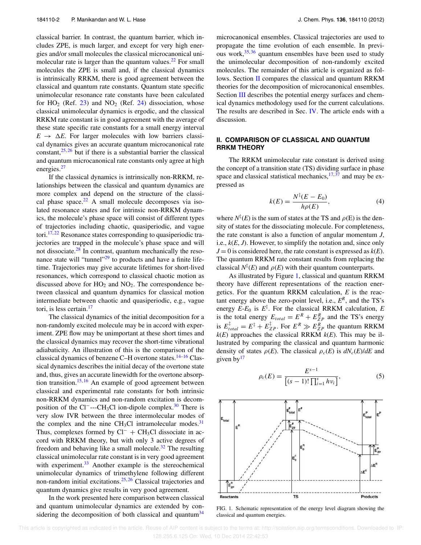classical barrier. In contrast, the quantum barrier, which includes ZPE, is much larger, and except for very high energies and/or small molecules the classical microcanonical unimolecular rate is larger than the quantum values. $^{22}$  For small molecules the ZPE is small and, if the classical dynamics is intrinsically RRKM, there is good agreement between the classical and quantum rate constants. Quantum state specific unimolecular resonance rate constants have been calculated for  $HO_2$  (Ref. 23) and  $NO_2$  (Ref. 24) dissociation, whose classical unimolecular dynamics is ergodic, and the classical RRKM rate constant is in good agreement with the average of these state specific rate constants for a small energy interval  $E \rightarrow \Delta E$ . For larger molecules with low barriers classical dynamics gives an accurate quantum microcanonical rate constant,  $25, 26$  but if there is a substantial barrier the classical and quantum microcanonical rate constants only agree at high energies.<sup>27</sup>

If the classical dynamics is intrinsically non-RRKM, relationships between the classical and quantum dynamics are more complex and depend on the structure of the classical phase space. $22$  A small molecule decomposes via isolated resonance states and for intrinsic non-RRKM dynamics, the molecule's phase space will consist of different types of trajectories including chaotic, quasiperiodic, and vague tori.<sup>17, 22</sup> Resonance states corresponding to quasiperiodic trajectories are trapped in the molecule's phase space and will not dissociate.<sup>28</sup> In contrast, quantum mechanically the resonance state will "tunnel"<sup>29</sup> to products and have a finite lifetime. Trajectories may give accurate lifetimes for short-lived resonances, which correspond to classical chaotic motion as discussed above for  $HO_2$  and  $NO_2$ . The correspondence between classical and quantum dynamics for classical motion intermediate between chaotic and quasiperiodic, e.g., vague tori, is less certain.<sup>17</sup>

The classical dynamics of the initial decomposition for a non-randomly excited molecule may be in accord with experiment. ZPE flow may be unimportant at these short times and the classical dynamics may recover the short-time vibrational adiabaticity. An illustration of this is the comparison of the classical dynamics of benzene C–H overtone states.<sup>14–16</sup> Classical dynamics describes the initial decay of the overtone state and, thus, gives an accurate linewidth for the overtone absorption transition.<sup>15, 16</sup> An example of good agreement between classical and experimental rate constants for both intrinsic non-RRKM dynamics and non-random excitation is decomposition of the Cl<sup>−</sup>---CH<sub>3</sub>Cl ion-dipole complex.<sup>30</sup> There is very slow IVR between the three intermolecular modes of the complex and the nine  $CH<sub>3</sub>Cl$  intramolecular modes.<sup>31</sup> Thus, complexes formed by  $Cl^-$  + CH<sub>3</sub>Cl dissociate in accord with RRKM theory, but with only 3 active degrees of freedom and behaving like a small molecule.<sup>32</sup> The resulting classical unimolecular rate constant is in very good agreement with experiment.<sup>33</sup> Another example is the stereochemical unimolecular dynamics of trimethylene following different non-random initial excitations.<sup>25, 26</sup> Classical trajectories and quantum dynamics give results in very good agreement.

In the work presented here comparison between classical and quantum unimolecular dynamics are extended by considering the decomposition of both classical and quantum $34$  microcanonical ensembles. Classical trajectories are used to propagate the time evolution of each ensemble. In previous work,  $35,36$  quantum ensembles have been used to study the unimolecular decomposition of non-randomly excited molecules. The remainder of this article is organized as follows. Section II compares the classical and quantum RRKM theories for the decomposition of microcanonical ensembles. Section III describes the potential energy surfaces and chemical dynamics methodology used for the current calculations. The results are described in Sec. IV. The article ends with a discussion.

## **II. COMPARISON OF CLASSICAL AND QUANTUM RRKM THEORY**

The RRKM unimolecular rate constant is derived using the concept of a transition state (TS) dividing surface in phase space and classical statistical mechanics, $17,37$  and may be expressed as

$$
k(E) = \frac{N^{\ddagger}(E - E_0)}{h\rho(E)},
$$
\n(4)

where  $N^{\ddagger}(E)$  is the sum of states at the TS and  $\rho(E)$  is the density of states for the dissociating molecule. For completeness, the rate constant is also a function of angular momentum *J*, i.e., *k*(*E*, *J*). However, to simplify the notation and, since only  $J = 0$  is considered here, the rate constant is expressed as  $k(E)$ . The quantum RRKM rate constant results from replacing the classical  $N^{\dagger}(E)$  and  $\rho(E)$  with their quantum counterparts.

As illustrated by Figure 1, classical and quantum RRKM theory have different representations of the reaction energetics. For the quantum RRKM calculation, *E* is the reactant energy above the zero-point level, i.e.,  $E^R$ , and the TS's energy  $E-E_0$  is  $E^{\ddagger}$ . For the classical RRKM calculation,  $E$ is the total energy  $E_{total} = E^R + E_{ZP}^R$  and the TS's energy is  $E_{total}^{\ddagger} = E^{\ddagger} + E_{ZP}^{\ddagger}$ . For  $E^{R} \gg E_{ZP}^{R}$  the quantum RRKM  $k(E)$  approaches the classical RRKM  $k(E)$ . This may be illustrated by comparing the classical and quantum harmonic density of states  $\rho(E)$ . The classical  $\rho_c(E)$  is  $dN_c(E)/dE$  and given  $by<sup>17</sup>$ 

$$
\rho_c(E) = \frac{E^{s-1}}{\left[ (s-1)! \prod_{i=1}^s h v_i \right]},\tag{5}
$$



FIG. 1. Schematic representation of the energy level diagram showing the classical and quantum energies.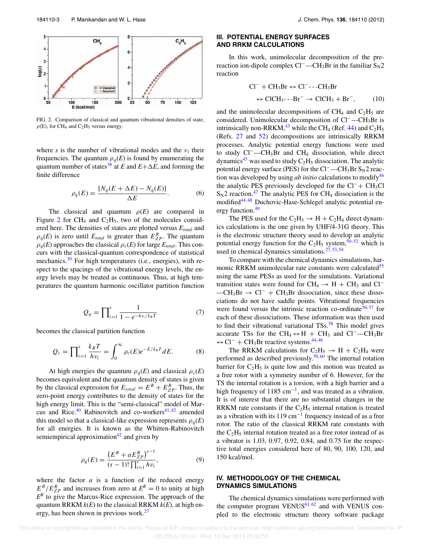

FIG. 2. Comparison of classical and quantum vibrational densities of state,  $\rho$ (E), for CH<sub>4</sub> and C<sub>2</sub>H<sub>5</sub> versus energy.

where *s* is the number of vibrational modes and the  $v_i$  their frequencies. The quantum  $\rho_q(E)$  is found by enumerating the quantum number of states<sup>38</sup> at *E* and  $E + \Delta E$ , and forming the finite difference

$$
\rho_q(E) = \frac{[N_q(E + \Delta E) - N_q(E)]}{\Delta E}.
$$
\n(6)

The classical and quantum  $\rho(E)$  are compared in Figure 2 for CH<sub>4</sub> and C<sub>2</sub>H<sub>5</sub>, two of the molecules considered here. The densities of states are plotted versus *Etotal* and  $\rho_q(E)$  is zero until  $E_{total}$  is greater than  $E_{ZP}^R$ . The quantum  $\rho_q(E)$  approaches the classical  $\rho_c(E)$  for large  $E_{total}$ . This concurs with the classical-quantum correspondence of statistical mechanics. $39$  For high temperatures (i.e., energies), with respect to the spacings of the vibrational energy levels, the energy levels may be treated as continuous. Thus, at high temperatures the quantum harmonic oscillator partition function

$$
Q_q = \prod_{i=1}^s \frac{1}{1 - e^{-hv_i/k_BT}}
$$
 (7)

becomes the classical partition function

$$
Q_c = \prod_{i=1}^s \frac{k_B T}{h v_i} = \int_0^\infty \rho_c(E) e^{-E/k_B T} dE.
$$
 (8)

At high energies the quantum  $\rho_q(E)$  and classical  $\rho_c(E)$ becomes equivalent and the quantum density of states is given by the classical expression for  $E_{total} = E^R + E_{ZP}^R$ . Thus, the zero-point energy contributes to the density of states for the high energy limit. This is the "semi-classical" model of Marcus and Rice. $40$  Rabinovitch and co-workers $41, 42$  amended this model so that a classical-like expression represents  $\rho_q(E)$ for all energies. It is known as the Whitten-Rabinovitch semiempirical approximation<sup>42</sup> and given by

$$
\rho_q(E) = \frac{\left(E^R + aE_{ZP}^R\right)^{s-1}}{(s-1)!\prod_{i=1}^s h v_i},\tag{9}
$$

where the factor  $a$  is a function of the reduced energy  $E_{Z}^{R}/E_{ZP}^{R}$  and increases from zero at  $E^{R} = 0$  to unity at high *E R* to give the Marcus-Rice expression. The approach of the quantum RRKM *k*(*E*) to the classical RRKM *k*(*E*), at high energy, has been shown in previous work. $27$ 

#### **III. POTENTIAL ENERGY SURFACES AND RRKM CALCULATIONS**

In this work, unimolecular decomposition of the prereaction ion-dipole complex  $Cl^-$ ---CH<sub>3</sub>Br in the familiar S<sub>N</sub>2 reaction

$$
Cl^{-} + CH_{3}Br \leftrightarrow Cl^{-} - CH_{3}Br
$$
  
\n
$$
\leftrightarrow ClCH_{3} - -Br^{-} \rightarrow ClCH_{3} + Br^{-},
$$
 (10)

and the unimolecular decompositions of  $CH_4$  and  $C_2H_5$  are considered. Unimolecular decomposition of Cl<sup>−</sup>---CH3Br is intrinsically non-RRKM,<sup>43</sup> while the CH<sub>4</sub> (Ref. 44) and  $C_2H_5$ (Refs. 27 and 52) decompositions are intrinsically RRKM processes. Analytic potential energy functions were used to study Cl<sup>−</sup>---CH3Br and CH<sup>4</sup> dissociation, while direct dynamics<sup>45</sup> was used to study  $C_2H_5$  dissociation. The analytic potential energy surface (PES) for the Cl<sup>−</sup>---CH<sub>3</sub>Br S<sub>N</sub>2 reaction was developed by using *ab initio* calculations to modify<sup>46</sup> the analytic PES previously developed for the Cl<sup>−</sup>+ CH3Cl  $S_N$ 2 reaction.<sup>47</sup> The analytic PES for CH<sub>4</sub> dissociation is the modified<sup>44, 48</sup> Duchovic-Hase-Schlegel analytic potential energy function.<sup>49</sup>

The PES used for the  $C_2H_5 \rightarrow H + C_2H_4$  direct dynamics calculations is the one given by UHF/4-31G theory. This is the electronic structure theory used to develop an analytic potential energy function for the  $C_2H_5$  system,<sup>50–52</sup> which is used in chemical dynamics simulations. $27,53,54$ 

To compare with the chemical dynamics simulations, harmonic RRKM unimolecular rate constants were calculated<sup>55</sup> using the same PESs as used for the simulations. Variational transition states were found for CH<sub>4</sub>  $\rightarrow$  H + CH<sub>3</sub> and Cl<sup>−</sup>  $-CH_3Br \rightarrow Cl^- + CH_3Br$  dissociation, since these dissociations do not have saddle points. Vibrational frequencies were found versus the intrinsic reaction co-ordinate<sup>56,57</sup> for each of these dissociations. These information was then used to find their vibrational variational  $TSS.58$  This model gives accurate TSs for the CH<sub>4</sub>  $\leftrightarrow$  H + CH<sub>3</sub> and Cl<sup>−</sup>---CH<sub>3</sub>Br  $\leftrightarrow$  Cl<sup>−</sup> + CH<sub>3</sub>Br reactive systems.<sup>44,46</sup>

The RRKM calculations for  $C_2H_5 \rightarrow H + C_2H_4$  were performed as described previously.<sup>59, 60</sup> The internal rotation barrier for  $C_2H_5$  is quite low and this motion was treated as a free rotor with a symmetry number of 6. However, for the TS the internal rotation is a torsion, with a high barrier and a high frequency of 1185 cm<sup>-1</sup>, and was treated as a vibration. It is of interest that there are no substantial changes in the RRKM rate constants if the  $C_2H_5$  internal rotation is treated as a vibration with its 119 cm<sup>−</sup><sup>1</sup> frequency instead of as a free rotor. The ratio of the classical RRKM rate constants with the  $C_2H_5$  internal rotation treated as a free rotor instead of as a vibrator is 1.03, 0.97, 0.92, 0.84, and 0.75 for the respective total energies considered here of 80, 90, 100, 120, and 150 kcal/mol.

## **IV. METHODOLOGY OF THE CHEMICAL DYNAMICS SIMULATIONS**

The chemical dynamics simulations were performed with the computer program VENUS $^{61, 62}$  and with VENUS coupled to the electronic structure theory software package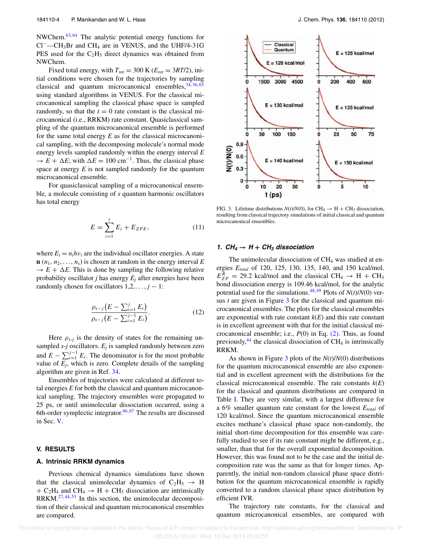NWChem.63, <sup>64</sup> The analytic potential energy functions for Cl<sup>−</sup>---CH3Br and CH<sup>4</sup> are in VENUS, and the UHF/4-31G PES used for the  $C_2H_5$  direct dynamics was obtained from NWChem.

Fixed total energy, with  $T_{rot} = 300$  K ( $E_{rot} = 3RT/2$ ), initial conditions were chosen for the trajectories by sampling classical and quantum microcanonical ensembles,  $34, 36, 65$ using standard algorithms in VENUS. For the classical microcanonical sampling the classical phase space is sampled randomly, so that the  $t = 0$  rate constant is the classical microcanonical (i.e., RRKM) rate constant. Quasiclassical sampling of the quantum microcanonical ensemble is performed for the same total energy *E* as for the classical microcanonical sampling, with the decomposing molecule's normal mode energy levels sampled randomly within the energy interval *E*  $\rightarrow$  *E* +  $\Delta E$ ; with  $\Delta E = 100$  cm<sup>-1</sup>. Thus, the classical phase space at energy *E* is not sampled randomly for the quantum microcanonical ensemble.

For quasiclassical sampling of a microcanonical ensemble, a molecule consisting of *s* quantum harmonic oscillators has total energy

$$
E = \sum_{i=1}^{s} E_i + E_{ZPE}, \qquad (11)
$$

where  $E_i = n_i h v_i$  are the individual oscillator energies. A state  $\mathbf{n}$  ( $n_1, n_2, \ldots, n_s$ ) is chosen at random in the energy interval *E*  $\rightarrow$  *E* +  $\Delta E$ . This is done by sampling the following relative probability oscillator *j* has energy *E<sup>j</sup>* after energies have been randomly chosen for oscillators  $1, 2, \ldots, j - 1$ :

$$
\frac{\rho_{s-j}\left(E-\sum_{i=1}^j E_i\right)}{\rho_{s-j}\left(E-\sum_{i=1}^{j-1} E_i\right)}.\tag{12}
$$

Here  $\rho_{s-j}$  is the density of states for the remaining unsampled *s*-*j* oscillators. *E<sup>j</sup>* is sampled randomly between zero and  $E - \sum_{i=1}^{j-1} E_i$ . The denominator is for the most probable value of  $E_j$ , which is zero. Complete details of the sampling algorithm are given in Ref. 34.

Ensembles of trajectories were calculated at different total energies *E* for both the classical and quantum microcanonical sampling. The trajectory ensembles were propagated to 25 ps, or until unimolecular dissociation occurred, using a 6th-order symplectic integrator.  $66, 67$  The results are discussed in Sec. V.

#### **V. RESULTS**

#### **A. Intrinsic RRKM dynamics**

Previous chemical dynamics simulations have shown that the classical unimolecular dynamics of  $C_2H_5 \rightarrow H$  $+ C_2H_4$  and CH<sub>4</sub>  $\rightarrow$  H + CH<sub>3</sub> dissociation are intrinsically RRKM.<sup>27,44,53</sup> In this section, the unimolecular decomposition of their classical and quantum microcanonical ensembles are compared.



FIG. 3. Lifetime distributions  $N(t)/N(0)$ , for CH<sub>4</sub>  $\rightarrow$  H + CH<sub>3</sub> dissociation, resulting from classical trajectory simulations of initial classical and quantum microcanonical ensembles.

#### **1.**  $CH_4 \rightarrow H + CH_3$  dissociation

The unimolecular dissociation of  $CH<sub>4</sub>$  was studied at energies *Etotal* of 120, 125, 130, 135, 140, and 150 kcal/mol.  $E_{ZP}^R = 29.2$  kcal/mol and the classical CH<sub>4</sub>  $\rightarrow$  H + CH<sub>3</sub> bond dissociation energy is 109.46 kcal/mol, for the analytic potential used for the simulations.<sup>48, 49</sup> Plots of  $N(t)/N(0)$  versus *t* are given in Figure 3 for the classical and quantum microcanonical ensembles. The plots for the classical ensembles are exponential with rate constant  $k(E)$  and this rate constant is in excellent agreement with that for the initial classical microcanonical ensemble; i.e., *P*(0) in Eq. (2). Thus, as found previously,<sup>44</sup> the classical dissociation of  $CH<sub>4</sub>$  is intrinsically RRKM.

As shown in Figure 3 plots of the *N*(*t*)/*N*(0) distributions for the quantum microcanonical ensemble are also exponential and in excellent agreement with the distributions for the classical microcanonical ensemble. The rate constants *k*(*E*) for the classical and quantum distributions are compared in Table I. They are very similar, with a largest difference for a 6% smaller quantum rate constant for the lowest *Etotal* of 120 kcal/mol. Since the quantum microcanonical ensemble excites methane's classical phase space non-randomly, the initial short-time decomposition for this ensemble was carefully studied to see if its rate constant might be different, e.g., smaller, than that for the overall exponential decomposition. However, this was found not to be the case and the initial decomposition rate was the same as that for longer times. Apparently, the initial non-random classical phase space distribution for the quantum microcanonical ensemble is rapidly converted to a random classical phase space distribution by efficient IVR.

The trajectory rate constants, for the classical and quantum microcanonical ensembles, are compared with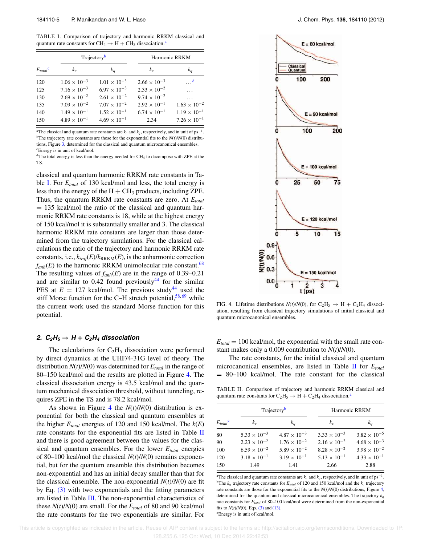TABLE I. Comparison of trajectory and harmonic RRKM classical and quantum rate constants for  $CH_4 \rightarrow H + CH_3$  dissociation.<sup>a</sup>

| $E_{total}$ <sup>c</sup> | Trajectory <sup>b</sup> |                       | Harmonic RRKM         |                            |  |
|--------------------------|-------------------------|-----------------------|-----------------------|----------------------------|--|
|                          | $k_c$                   | $k_a$                 | $k_c$                 | $k_q$                      |  |
| 120                      | $1.06 \times 10^{-3}$   | $1.01 \times 10^{-3}$ | $2.66 \times 10^{-3}$ | $\cdot \cdot^{\mathsf{d}}$ |  |
| 125                      | $7.16 \times 10^{-3}$   | $6.97 \times 10^{-3}$ | $2.33 \times 10^{-2}$ |                            |  |
| 130                      | $2.69 \times 10^{-2}$   | $2.61 \times 10^{-2}$ | $9.74 \times 10^{-2}$ | $\cdots$                   |  |
| 135                      | $7.09 \times 10^{-2}$   | $7.07 \times 10^{-2}$ | $2.92 \times 10^{-1}$ | $1.63 \times 10^{-2}$      |  |
| 140                      | $1.49 \times 10^{-1}$   | $1.52 \times 10^{-1}$ | $6.74 \times 10^{-1}$ | $1.19 \times 10^{-1}$      |  |
| 150                      | $4.89 \times 10^{-1}$   | $4.69 \times 10^{-1}$ | 2.34                  | $7.26 \times 10^{-1}$      |  |
|                          |                         |                       |                       |                            |  |

<sup>a</sup>The classical and quantum rate constants are  $k_c$  and  $k_q$ , respectively, and in unit of  $ps^{-1}$ . <sup>b</sup>The trajectory rate constants are those for the exponential fits to the  $N(t)/N(0)$  distributions, Figure 3, determined for the classical and quantum microcanonical ensembles. <sup>c</sup>Energy is in unit of kcal/mol.

 $d$ The total energy is less than the energy needed for CH<sub>4</sub> to decompose with ZPE at the TS.

classical and quantum harmonic RRKM rate constants in Table I. For *Etotal* of 130 kcal/mol and less, the total energy is less than the energy of the  $H + CH_3$  products, including ZPE. Thus, the quantum RRKM rate constants are zero. At *Etotal*  $= 135$  kcal/mol the ratio of the classical and quantum harmonic RRKM rate constants is 18, while at the highest energy of 150 kcal/mol it is substantially smaller and 3. The classical harmonic RRKM rate constants are larger than those determined from the trajectory simulations. For the classical calculations the ratio of the trajectory and harmonic RRKM rate constants, i.e.,  $k_{\text{traj}}(E)/k_{\text{RRKM}}(E)$ , is the anharmonic correction  $f_{anh}(E)$  to the harmonic RRKM unimolecular rate constant.<sup>68</sup> The resulting values of  $f_{anh}(E)$  are in the range of 0.39–0.21 and are similar to  $0.42$  found previously  $44$  for the similar PES at  $E = 127$  kcal/mol. The previous study<sup>44</sup> used the stiff Morse function for the C–H stretch potential,<sup>58,69</sup> while the current work used the standard Morse function for this potential.

### **2.**  $C_2H_5 \rightarrow H + C_2H_4$  dissociation

The calculations for  $C_2H_5$  dissociation were performed by direct dynamics at the UHF/4-31G level of theory. The distribution  $N(t)/N(0)$  was determined for  $E_{total}$  in the range of 80–150 kcal/mol and the results are plotted in Figure 4. The classical dissociation energy is 43.5 kcal/mol and the quantum mechanical dissociation threshold, without tunneling, requires ZPE in the TS and is 78.2 kcal/mol.

As shown in Figure 4 the *N*(*t*)/*N*(0) distribution is exponential for both the classical and quantum ensembles at the higher *Etotal* energies of 120 and 150 kcal/mol. The *k*(*E*) rate constants for the exponential fits are listed in Table II and there is good agreement between the values for the classical and quantum ensembles. For the lower *Etotal* energies of 80–100 kcal/mol the classical *N*(*t*)/*N*(0) remains exponential, but for the quantum ensemble this distribution becomes non-exponential and has an initial decay smaller than that for the classical ensemble. The non-exponential  $N(t)/N(0)$  are fit by Eq. (3) with two exponentials and the fitting parameters are listed in Table III. The non-exponential characteristics of these  $N(t)/N(0)$  are small. For the  $E_{total}$  of 80 and 90 kcal/mol the rate constants for the two exponentials are similar. For



FIG. 4. Lifetime distributions  $N(t)/N(0)$ , for  $C_2H_5 \rightarrow H + C_2H_4$  dissociation, resulting from classical trajectory simulations of initial classical and quantum microcanonical ensembles.

 $E_{total} = 100$  kcal/mol, the exponential with the small rate constant makes only a 0.009 contribution to *N*(*t*)/*N*(0).

The rate constants, for the initial classical and quantum microcanonical ensembles, are listed in Table II for *Etotal*  $= 80-100$  kcal/mol. The rate constant for the classical

TABLE II. Comparison of trajectory and harmonic RRKM classical and quantum rate constants for  $C_2H_5 \rightarrow H + C_2H_4$  dissociation.<sup>4</sup>

|                          | Trajectory <sup>b</sup> |                       | Harmonic RRKM         |                       |
|--------------------------|-------------------------|-----------------------|-----------------------|-----------------------|
| $E_{total}$ <sup>c</sup> | $k_{c}$                 | $k_a$                 | $k_c$                 | $k_a$                 |
| 80                       | $5.33 \times 10^{-3}$   | $4.87 \times 10^{-3}$ | $3.33 \times 10^{-3}$ | $3.82 \times 10^{-5}$ |
| 90                       | $2.23 \times 10^{-2}$   | $1.76 \times 10^{-2}$ | $2.16 \times 10^{-2}$ | $4.68 \times 10^{-3}$ |
| 100                      | $6.59 \times 10^{-2}$   | $5.89 \times 10^{-2}$ | $8.28 \times 10^{-2}$ | $3.98 \times 10^{-2}$ |
| 120                      | $3.18 \times 10^{-1}$   | $3.19 \times 10^{-1}$ | $5.13 \times 10^{-1}$ | $4.33 \times 10^{-1}$ |
| 150                      | 1.49                    | 1.41                  | 2.66                  | 2.88                  |

<sup>a</sup>The classical and quantum rate constants are  $k_c$  and  $k_q$ , respectively, and in unit of ps<sup>-1</sup>. <sup>b</sup>The  $k_q$  trajectory rate constants for  $E_{total}$  of 120 and 150 kcal/mol and the  $k_c$  trajectory rate constants are those for the exponential fits to the  $N(t)/N(0)$  distributions, Figure 4, determined for the quantum and classical microcanonical ensembles. The trajectory *k<sup>q</sup>* rate constants for  $E_{total}$  of 80–100 kcal/mol were determined from the non-exponential fits to *N*(*t*)/*N*(0), Eqs. (3) and (13). <sup>c</sup>Energy is in unit of kcal/mol.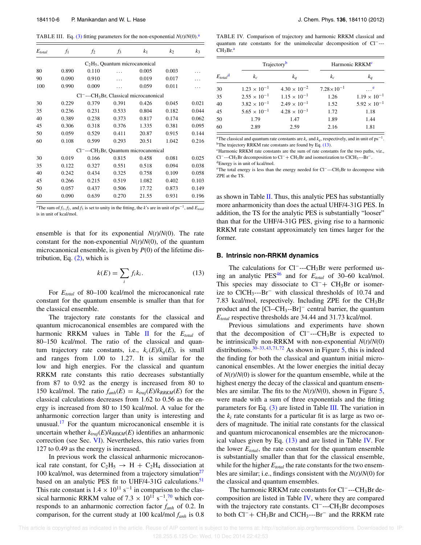TABLE III. Eq.  $(3)$  fitting parameters for the non-exponential  $N(t)/N(0)$ .<sup>a</sup>

| $E_{total}$ | $f_1$ | f <sub>2</sub> | $f_3$                             | k <sub>1</sub>                                         | k <sub>2</sub> | k3    |
|-------------|-------|----------------|-----------------------------------|--------------------------------------------------------|----------------|-------|
|             |       |                | $C_2H_5$ , Quantum microcanonical |                                                        |                |       |
| 80          | 0.890 | 0.110          |                                   | 0.005                                                  | 0.003          |       |
| 90          | 0.090 | 0.910          |                                   | 0.019                                                  | 0.017          |       |
| 100         | 0.990 | 0.009          |                                   | 0.059                                                  | 0.011          |       |
|             |       |                |                                   | $Cl^-$ ---CH <sub>3</sub> Br, Classical microcanonical |                |       |
| 30          | 0.229 | 0.379          | 0.391                             | 0.426                                                  | 0.045          | 0.021 |
| 35          | 0.236 | 0.231          | 0.533                             | 0.804                                                  | 0.182          | 0.044 |
| 40          | 0.389 | 0.238          | 0.373                             | 0.817                                                  | 0.174          | 0.062 |
| 45          | 0.306 | 0.318          | 0.376                             | 1.335                                                  | 0.381          | 0.095 |
| 50          | 0.059 | 0.529          | 0.411                             | 20.87                                                  | 0.915          | 0.144 |
| 60          | 0.108 | 0.599          | 0.293                             | 20.51                                                  | 1.042          | 0.216 |
|             |       |                |                                   | $Cl^-$ ---CH <sub>3</sub> Br, Quantum microcanonical   |                |       |
| 30          | 0.019 | 0.166          | 0.815                             | 0.458                                                  | 0.081          | 0.025 |
| 35          | 0.122 | 0.327          | 0.551                             | 0.518                                                  | 0.094          | 0.038 |
| 40          | 0.242 | 0.434          | 0.325                             | 0.758                                                  | 0.109          | 0.058 |
| 45          | 0.266 | 0.215          | 0.519                             | 1.082                                                  | 0.402          | 0.103 |
| 50          | 0.057 | 0.437          | 0.506                             | 17.72                                                  | 0.873          | 0.149 |
| 60          | 0.090 | 0.639          | 0.270                             | 21.55                                                  | 0.931          | 0.196 |

<sup>a</sup>The sum of *f*1, *f*2, and *f*<sup>3</sup> is set to unity in the fitting, the *k*'s are in unit of ps−<sup>1</sup> , and *Etotal* is in unit of kcal/mol.

ensemble is that for its exponential  $N(t)/N(0)$ . The rate constant for the non-exponential  $N(t)/N(0)$ , of the quantum microcanonical ensemble, is given by *P*(0) of the lifetime distribution, Eq.  $(2)$ , which is

$$
k(E) = \sum_{i} f_i k_i.
$$
 (13)

For *Etotal* of 80–100 kcal/mol the microcanonical rate constant for the quantum ensemble is smaller than that for the classical ensemble.

The trajectory rate constants for the classical and quantum microcanonical ensembles are compared with the harmonic RRKM values in Table II for the *Etotal* of 80–150 kcal/mol. The ratio of the classical and quantum trajectory rate constants, i.e.,  $k_c(E)/k_a(E)$ , is small and ranges from 1.00 to 1.27. It is similar for the low and high energies. For the classical and quantum RRKM rate constants this ratio decreases substantially from 87 to 0.92 as the energy is increased from 80 to 150 kcal/mol. The ratio  $f_{anh}(E) = k_{traj}(E)/k_{RRKM}(E)$  for the classical calculations decreases from 1.62 to 0.56 as the energy is increased from 80 to 150 kcal/mol. A value for the anharmonic correction larger than unity is interesting and unusual.<sup>17</sup> For the quantum microcanonical ensemble it is uncertain whether  $k_{traj}(E)/k_{RRKM}(E)$  identifies an anharmonic correction (see Sec. VI). Nevertheless, this ratio varies from 127 to 0.49 as the energy is increased.

In previous work the classical anharmonic microcanonical rate constant, for  $C_2H_5 \rightarrow H + C_2H_4$  dissociation at 100 kcal/mol, was determined from a trajectory simulation $27$ based on an analytic PES fit to UHF/4-31G calculations.<sup>51</sup> This rate constant is  $1.4 \times 10^{11}$  s<sup>-1</sup> in comparison to the classical harmonic RRKM value of  $7.3 \times 10^{11} \text{ s}^{-1}$ ,<sup>70</sup> which corresponds to an anharmonic correction factor *fanh* of 0.2. In comparison, for the current study at 100 kcal/mol *fanh* is 0.8

TABLE IV. Comparison of trajectory and harmonic RRKM classical and quantum rate constants for the unimolecular decomposition of Cl−---  $CH<sub>3</sub>Br.<sup>a</sup>$ 

| $E_{total}$ <sup>d</sup> | Trajectory <sup>b</sup> |                       | Harmonic RRKM <sup>c</sup> |                       |
|--------------------------|-------------------------|-----------------------|----------------------------|-----------------------|
|                          | $k_c$                   | $k_q$                 | $k_c$                      | $k_a$                 |
| 30                       | $1.23 \times 10^{-1}$   | $4.30 \times 10^{-2}$ | $7.28 \times 10^{-1}$      | $\cdot$ e             |
| 35                       | $2.55 \times 10^{-1}$   | $1.15 \times 10^{-1}$ | 1.26                       | $1.19 \times 10^{-1}$ |
| 40                       | $3.82 \times 10^{-1}$   | $2.49 \times 10^{-1}$ | 1.52                       | $5.92 \times 10^{-1}$ |
| 45                       | $5.65 \times 10^{-1}$   | $4.28 \times 10^{-1}$ | 1.72                       | 1.18                  |
| 50                       | 1.79                    | 1.47                  | 1.89                       | 1.44                  |
| 60                       | 2.89                    | 2.59                  | 2.16                       | 1.81                  |

<sup>a</sup>The classical and quantum rate constants are  $k_c$  and  $k_q$ , respectively, and in unit of ps<sup>-1</sup>. <sup>b</sup>The trajectory RRKM rate constants are found by Eq. (13).

<sup>c</sup>Harmonic RRKM rate constants are the sum of rate constants for the two paths, viz., Cl−---CH3Br decomposition to Cl−+ CH3Br and isomerization to ClCH3---Br−. <sup>d</sup>Energy is in unit of kcal/mol.

<sup>e</sup>The total energy is less than the energy needed for Cl−---CH3Br to decompose with ZPE at the TS.

as shown in Table II. Thus, this analytic PES has substantially more anharmonicity than does the actual UHF/4-31G PES. In addition, the TS for the analytic PES is substantially "looser" than that for the UHF/4-31G PES, giving rise to a harmonic RRKM rate constant approximately ten times larger for the former.

#### **B. Intrinsic non-RRKM dynamics**

The calculations for Cl<sup>−</sup>---CH<sub>3</sub>Br were performed using an analytic PES<sup>46</sup> and for  $E_{total}$  of 30–60 kcal/mol. This species may dissociate to  $Cl^-+CH_3Br$  or isomerize to ClCH3---Br<sup>−</sup> with classical thresholds of 10.74 and 7.83 kcal/mol, respectively. Including ZPE for the  $CH_3Br$ product and the [Cl--CH3--Br]<sup>−</sup> central barrier, the quantum *Etotal* respective thresholds are 34.44 and 31.73 kcal/mol.

Previous simulations and experiments have shown that the decomposition of  $Cl^-$ --- $CH_3Br$  is expected to be intrinsically non-RRKM with non-exponential *N*(*t*)/*N*(0) distributions.  $30-33, 43, 71, 72$  As shown in Figure 5, this is indeed the finding for both the classical and quantum initial microcanonical ensembles. At the lower energies the initial decay of *N*(*t*)/*N*(0) is slower for the quantum ensemble, while at the highest energy the decay of the classical and quantum ensembles are similar. The fits to the  $N(t)/N(0)$ , shown in Figure 5, were made with a sum of three exponentials and the fitting parameters for Eq.  $(3)$  are listed in Table III. The variation in the  $k_i$  rate constants for a particular fit is as large as two orders of magnitude. The initial rate constants for the classical and quantum microcanonical ensembles are the microcanonical values given by Eq. (13) and are listed in Table IV. For the lower *Etotal*, the rate constant for the quantum ensemble is substantially smaller than that for the classical ensemble, while for the higher  $E_{total}$  the rate constants for the two ensembles are similar; i.e., findings consistent with the *N*(*t*)/*N*(0) for the classical and quantum ensembles.

The harmonic RRKM rate constants for Cl<sup>−</sup>---CH<sub>3</sub>Br decomposition are listed in Table IV, where they are compared with the trajectory rate constants. Cl<sup>−</sup>---CH<sub>3</sub>Br decomposes to both Cl<sup>−</sup>+ CH3Br and ClCH3---Br<sup>−</sup> and the RRKM rate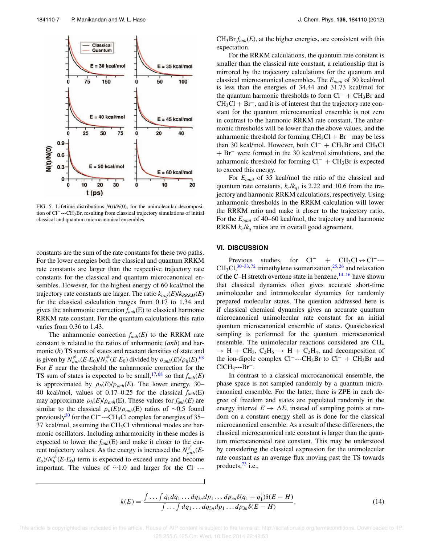

FIG. 5. Lifetime distributions *N*(*t*)/*N*(0), for the unimolecular decomposition of Cl−---CH3Br, resulting from classical trajectory simulations of initial classical and quantum microcanonical ensembles.

constants are the sum of the rate constants for these two paths. For the lower energies both the classical and quantum RRKM rate constants are larger than the respective trajectory rate constants for the classical and quantum microcanonical ensembles. However, for the highest energy of 60 kcal/mol the trajectory rate constants are larger. The ratio  $k_{traj}(E)/k_{RRKM}(E)$ for the classical calculation ranges from 0.17 to 1.34 and gives the anharmonic correction *fanh*(E) to classical harmonic RRKM rate constant. For the quantum calculations this ratio varies from 0.36 to 1.43.

The anharmonic correction  $f_{anh}(E)$  to the RRKM rate constant is related to the ratios of anharmonic (*anh*) and harmonic (*h*) TS sums of states and reactant densities of state and is given by  $N_{anh}^{\neq}(E-E_0)/N_h^{\neq}(E-E_0)$  divided by  $\rho_{anh}(E)/\rho_h(E)$ .<sup>68</sup> For *E* near the threshold the anharmonic correction for the TS sum of states is expected to be small,  $17,68$  so that  $f_{anh}(E)$ is approximated by  $\rho_h(E)/\rho_{anh}(E)$ . The lower energy, 30– 40 kcal/mol, values of 0.17–0.25 for the classical *fanh*(E) may approximate  $\rho_h(E)/\rho_{anh}(E)$ . These values for  $f_{anh}(E)$  are similar to the classical  $\rho_h(E)/\rho_{anh}(E)$  ratios of ∼0.5 found previously<sup>30</sup> for the Cl<sup>−</sup>---CH<sub>3</sub>Cl complex for energies of 35– 37 kcal/mol, assuming the  $CH<sub>3</sub>Cl$  vibrational modes are harmonic oscillators. Including anharmonicity in these modes is expected to lower the  $f_{anh}(E)$  and make it closer to the current trajectory values. As the energy is increased the  $N_{anh}^{\neq}(E$ - $E_o$ )/ $N_h^{\neq}$ (*E*-*E*<sub>0</sub>) term is expected to exceed unity and become important. The values of ∼1.0 and larger for the Cl<sup>−</sup>---  $CH_3Br f_{anh}(E)$ , at the higher energies, are consistent with this expectation.

For the RRKM calculations, the quantum rate constant is smaller than the classical rate constant, a relationship that is mirrored by the trajectory calculations for the quantum and classical microcanonical ensembles. The *Etotal* of 30 kcal/mol is less than the energies of 34.44 and 31.73 kcal/mol for the quantum harmonic thresholds to form  $Cl^-$  +  $CH_3Br$  and  $CH<sub>3</sub>Cl + Br<sup>-</sup>$ , and it is of interest that the trajectory rate constant for the quantum microcanonical ensemble is not zero in contrast to the harmonic RRKM rate constant. The anharmonic thresholds will be lower than the above values, and the anharmonic threshold for forming  $CH_3Cl + Br$ <sup>−</sup> may be less than 30 kcal/mol. However, both  $Cl^-$  + CH<sub>3</sub>Br and CH<sub>3</sub>Cl + Br<sup>−</sup> were formed in the 30 kcal/mol simulations, and the anharmonic threshold for forming  $Cl^-$  +  $CH_3Br$  is expected to exceed this energy.

For *Etotal* of 35 kcal/mol the ratio of the classical and quantum rate constants,  $k_c/k_a$ , is 2.22 and 10.6 from the trajectory and harmonic RRKM calculations, respectively. Using anharmonic thresholds in the RRKM calculation will lower the RRKM ratio and make it closer to the trajectory ratio. For the *Etotal* of 40–60 kcal/mol, the trajectory and harmonic RRKM  $k_c/k_q$  ratios are in overall good agreement.

#### **VI. DISCUSSION**

Previous studies, for  $Cl^-$  +  $CH_3Cl \leftrightarrow Cl^-$ --- $CH<sub>3</sub>Cl<sub>3</sub><sup>30-33,72</sup>$  trimethylene isomerization,<sup>25, 26</sup> and relaxation of the C–H stretch overtone state in benzene,  $14-16$  have shown that classical dynamics often gives accurate short-time unimolecular and intramolecular dynamics for randomly prepared molecular states. The question addressed here is if classical chemical dynamics gives an accurate quantum microcanonical unimolecular rate constant for an initial quantum microcanonical ensemble of states. Quasiclassical sampling is performed for the quantum microcanonical ensemble. The unimolecular reactions considered are CH<sup>4</sup>  $\rightarrow$  H + CH<sub>3</sub>, C<sub>2</sub>H<sub>5</sub>  $\rightarrow$  H + C<sub>2</sub>H<sub>4</sub>, and decomposition of the ion-dipole complex Cl<sup>-</sup>---CH<sub>3</sub>Br to Cl<sup>-</sup> + CH<sub>3</sub>Br and  $ClCH<sub>3</sub>---Br<sup>-</sup>$ .

In contrast to a classical microcanonical ensemble, the phase space is not sampled randomly by a quantum microcanonical ensemble. For the latter, there is ZPE in each degree of freedom and states are populated randomly in the energy interval  $E \to \Delta E$ , instead of sampling points at random on a constant energy shell as is done for the classical microcanonical ensemble. As a result of these differences, the classical microcanonical rate constant is larger than the quantum microcanonical rate constant. This may be understood by considering the classical expression for the unimolecular rate constant as an average flux moving past the TS towards products, $^{73}$  i.e.,

$$
k(E) = \frac{\int \dots \int \dot{q}_1 dq_1 \dots dq_{3n} dp_1 \dots dp_{3n} \delta(q_1 - q_1^{\dagger}) \delta(E - H)}{\int \dots \int dq_1 \dots dq_{3n} dp_1 \dots dp_{3n} \delta(E - H)}.
$$
\n(14)

 This article is copyrighted as indicated in the article. Reuse of AIP content is subject to the terms at: http://scitation.aip.org/termsconditions. Downloaded to IP: 128.255.6.125 On: Wed, 10 Dec 2014 22:42:53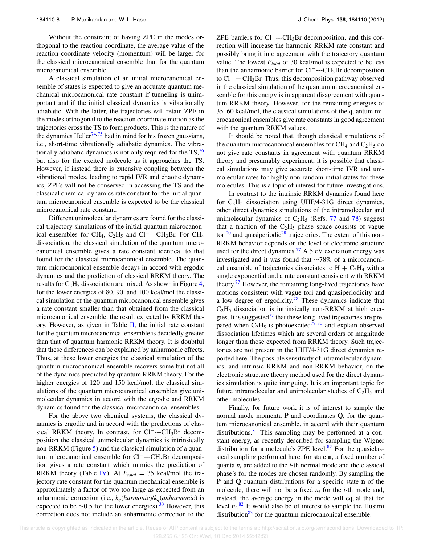Without the constraint of having ZPE in the modes orthogonal to the reaction coordinate, the average value of the reaction coordinate velocity (momentum) will be larger for the classical microcanonical ensemble than for the quantum microcanonical ensemble.

A classical simulation of an initial microcanonical ensemble of states is expected to give an accurate quantum mechanical microcanonical rate constant if tunneling is unimportant and if the initial classical dynamics is vibrationally adiabatic. With the latter, the trajectories will retain ZPE in the modes orthogonal to the reaction coordinate motion as the trajectories cross the TS to form products. This is the nature of the dynamics Heller<sup>74,75</sup> had in mind for his frozen gaussians, i.e., short-time vibrationally adiabatic dynamics. The vibrationally adiabatic dynamics is not only required for the  $TS<sub>1</sub>$ <sup>76</sup> but also for the excited molecule as it approaches the TS. However, if instead there is extensive coupling between the vibrational modes, leading to rapid IVR and chaotic dynamics, ZPEs will not be conserved in accessing the TS and the classical chemical dynamics rate constant for the initial quantum microcanonical ensemble is expected to be the classical microcanonical rate constant.

Different unimolecular dynamics are found for the classical trajectory simulations of the initial quantum microcanonical ensembles for CH<sub>4</sub>, C<sub>2</sub>H<sub>5</sub> and Cl<sup>−</sup>---CH<sub>3</sub>Br. For CH<sub>4</sub> dissociation, the classical simulation of the quantum microcanonical ensemble gives a rate constant identical to that found for the classical microcanonical ensemble. The quantum microcanonical ensemble decays in accord with ergodic dynamics and the prediction of classical RRKM theory. The results for  $C_2H_5$  dissociation are mixed. As shown in Figure 4, for the lower energies of 80, 90, and 100 kcal/mol the classical simulation of the quantum microcanonical ensemble gives a rate constant smaller than that obtained from the classical microcanonical ensemble, the result expected by RRKM theory. However, as given in Table  $II$ , the initial rate constant for the quantum microcanonical ensemble is decidedly greater than that of quantum harmonic RRKM theory. It is doubtful that these differences can be explained by anharmonic effects. Thus, at these lower energies the classical simulation of the quantum microcanonical ensemble recovers some but not all of the dynamics predicted by quantum RRKM theory. For the higher energies of 120 and 150 kcal/mol, the classical simulations of the quantum microcanonical ensembles give unimolecular dynamics in accord with the ergodic and RRKM dynamics found for the classical microcanonical ensembles.

For the above two chemical systems, the classical dynamics is ergodic and in accord with the predictions of classical RRKM theory. In contrast, for  $Cl^-$ --- $CH_3Br$  decomposition the classical unimolecular dynamics is intrinsically non-RRKM (Figure 5) and the classical simulation of a quantum microcanonical ensemble for Cl<sup>−</sup>---CH<sub>3</sub>Br decomposition gives a rate constant which mimics the prediction of RRKM theory (Table IV). At  $E_{total} = 35$  kcal/mol the trajectory rate constant for the quantum mechanical ensemble is approximately a factor of two too large as expected from an anharmonic correction (i.e.,  $k_q$ (*harmonic*)/ $k_q$ (*anharmonic*) is expected to be  $\sim$ 0.5 for the lower energies).<sup>30</sup> However, this correction does not include an anharmonic correction to the ZPE barriers for Cl<sup>−</sup>---CH3Br decomposition, and this correction will increase the harmonic RRKM rate constant and possibly bring it into agreement with the trajectory quantum value. The lowest *Etotal* of 30 kcal/mol is expected to be less than the anharmonic barrier for Cl<sup>−</sup>---CH3Br decomposition to Cl<sup>−</sup> + CH3Br. Thus, this decomposition pathway observed in the classical simulation of the quantum microcanonical ensemble for this energy is in apparent disagreement with quantum RRKM theory. However, for the remaining energies of 35–60 kcal/mol, the classical simulations of the quantum microcanonical ensembles give rate constants in good agreement with the quantum RRKM values.

It should be noted that, though classical simulations of the quantum microcanonical ensembles for  $CH_4$  and  $C_2H_5$  do not give rate constants in agreement with quantum RRKM theory and presumably experiment, it is possible that classical simulations may give accurate short-time IVR and unimolecular rates for highly non-random initial states for these molecules. This is a topic of interest for future investigations.

In contrast to the intrinsic RRKM dynamics found here for  $C_2H_5$  dissociation using UHF/4-31G direct dynamics, other direct dynamics simulations of the intramolecular and unimolecular dynamics of  $C_2H_5$  (Refs. 77 and 78) suggest that a fraction of the  $C_2H_5$  phase space consists of vague tori<sup>20</sup> and quasiperiodic<sup>28</sup> trajectories. The extent of this non-RRKM behavior depends on the level of electronic structure used for the direct dynamics.<sup>77</sup> A 5 eV excitation energy was investigated and it was found that ∼78% of a microcanonical ensemble of trajectories dissociates to  $H + C_2H_4$  with a single exponential and a rate constant consistent with RRKM theory.<sup>77</sup> However, the remaining long-lived trajectories have motions consistent with vague tori and quasiperiodicity and a low degree of ergodicity.<sup>78</sup> These dynamics indicate that  $C<sub>2</sub>H<sub>5</sub>$  dissociation is intrinsically non-RRKM at high energies. It is suggested<sup>77</sup> that these long-lived trajectories are prepared when  $C_2H_5$  is photoexcited<sup>79,80</sup> and explain observed dissociation lifetimes which are several orders of magnitude longer than those expected from RRKM theory. Such trajectories are not present in the UHF/4-31G direct dynamics reported here. The possible sensitivity of intramolecular dynamics, and intrinsic RRKM and non-RRKM behavior, on the electronic structure theory method used for the direct dynamics simulation is quite intriguing. It is an important topic for future intramolecular and unimolecular studies of  $C_2H_5$  and other molecules.

Finally, for future work it is of interest to sample the normal mode momenta **P** and coordinates **Q**, for the quantum microcanonical ensemble, in accord with their quantum distributions.  $81$  This sampling may be performed at a constant energy, as recently described for sampling the Wigner distribution for a molecule's ZPE level. $82$  For the quasiclassical sampling performed here, for state **n**, a fixed number of quanta *n<sup>i</sup>* are added to the *i*-th normal mode and the classical phase's for the modes are chosen randomly. By sampling the **P** and **Q** quantum distributions for a specific state **n** of the molecule, there will not be a fixed  $n_i$  for the *i*-th mode and, instead, the average energy in the mode will equal that for level  $n_i$ <sup>82</sup> It would also be of interest to sample the Husimi distribution $83$  for the quantum microcanonical ensemble.